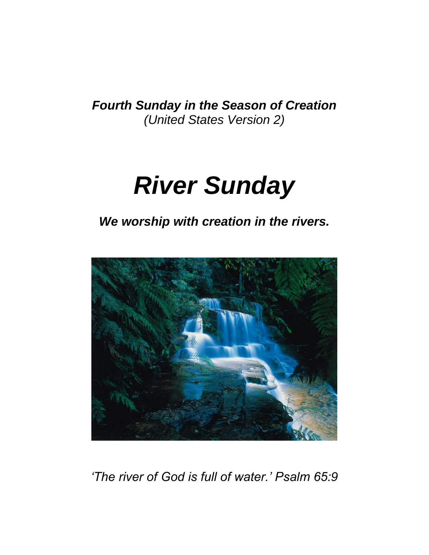*Fourth Sunday in the Season of Creation (United States Version 2)*

# *River Sunday*

*We worship with creation in the rivers.*



*'The river of God is full of water.' Psalm 65:9*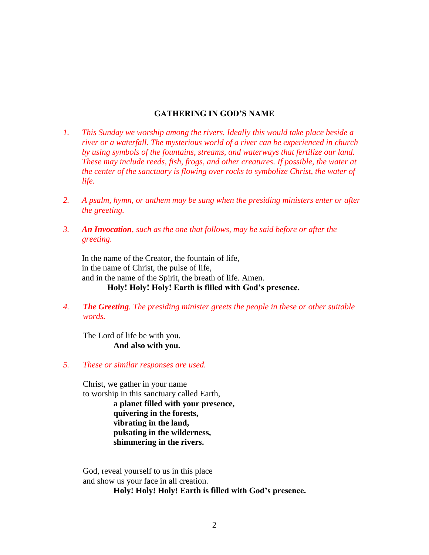#### **GATHERING IN GOD'S NAME**

- *1. This Sunday we worship among the rivers. Ideally this would take place beside a river or a waterfall. The mysterious world of a river can be experienced in church by using symbols of the fountains, streams, and waterways that fertilize our land. These may include reeds, fish, frogs, and other creatures. If possible, the water at the center of the sanctuary is flowing over rocks to symbolize Christ, the water of life.*
- *2. A psalm, hymn, or anthem may be sung when the presiding ministers enter or after the greeting.*
- *3. An Invocation, such as the one that follows, may be said before or after the greeting.*

In the name of the Creator, the fountain of life, in the name of Christ, the pulse of life, and in the name of the Spirit, the breath of life. Amen. **Holy! Holy! Holy! Earth is filled with God's presence.**

*4. The Greeting. The presiding minister greets the people in these or other suitable words.*

The Lord of life be with you. **And also with you.**

*5. These or similar responses are used.*

Christ, we gather in your name to worship in this sanctuary called Earth, **a planet filled with your presence, quivering in the forests, vibrating in the land, pulsating in the wilderness, shimmering in the rivers.**

God, reveal yourself to us in this place and show us your face in all creation.

**Holy! Holy! Holy! Earth is filled with God's presence.**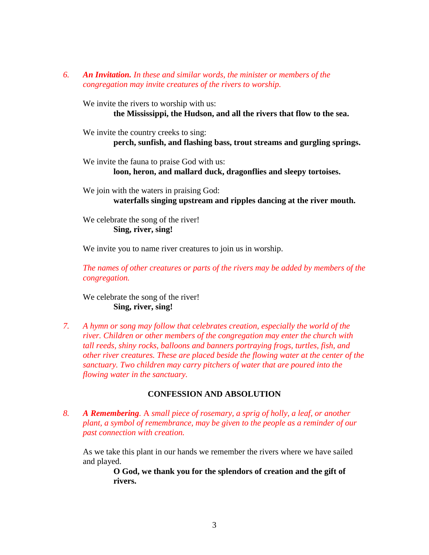*6. An Invitation. In these and similar words, the minister or members of the congregation may invite creatures of the rivers to worship.*

We invite the rivers to worship with us:

**the Mississippi, the Hudson, and all the rivers that flow to the sea.**

We invite the country creeks to sing: **perch, sunfish, and flashing bass, trout streams and gurgling springs.**

We invite the fauna to praise God with us: **loon, heron, and mallard duck, dragonflies and sleepy tortoises.**

We join with the waters in praising God: **waterfalls singing upstream and ripples dancing at the river mouth.**

We celebrate the song of the river! **Sing, river, sing!**

We invite you to name river creatures to join us in worship.

*The names of other creatures or parts of the rivers may be added by members of the congregation.*

We celebrate the song of the river! **Sing, river, sing!**

*7. A hymn or song may follow that celebrates creation, especially the world of the river. Children or other members of the congregation may enter the church with tall reeds, shiny rocks, balloons and banners portraying frogs, turtles, fish, and other river creatures. These are placed beside the flowing water at the center of the sanctuary. Two children may carry pitchers of water that are poured into the flowing water in the sanctuary.*

### **CONFESSION AND ABSOLUTION**

*8. A Remembering.* A *small piece of rosemary, a sprig of holly, a leaf, or another plant, a symbol of remembrance, may be given to the people as a reminder of our past connection with creation.*

As we take this plant in our hands we remember the rivers where we have sailed and played.

> **O God, we thank you for the splendors of creation and the gift of rivers.**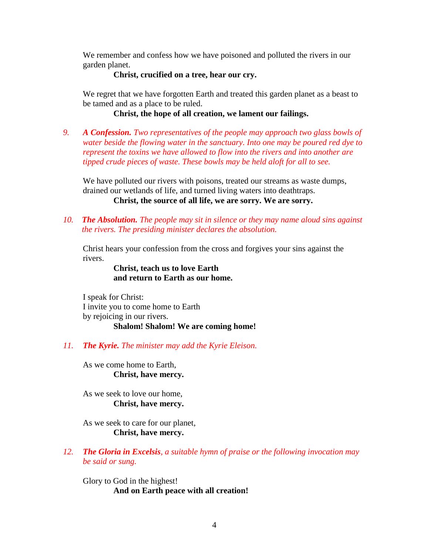We remember and confess how we have poisoned and polluted the rivers in our garden planet.

**Christ, crucified on a tree, hear our cry.**

We regret that we have forgotten Earth and treated this garden planet as a beast to be tamed and as a place to be ruled.

**Christ, the hope of all creation, we lament our failings.**

*9. A Confession. Two representatives of the people may approach two glass bowls of water beside the flowing water in the sanctuary. Into one may be poured red dye to represent the toxins we have allowed to flow into the rivers and into another are tipped crude pieces of waste. These bowls may be held aloft for all to see.*

We have polluted our rivers with poisons, treated our streams as waste dumps, drained our wetlands of life, and turned living waters into deathtraps.

**Christ, the source of all life, we are sorry. We are sorry.**

*10. The Absolution. The people may sit in silence or they may name aloud sins against the rivers. The presiding minister declares the absolution.*

Christ hears your confession from the cross and forgives your sins against the rivers.

> **Christ, teach us to love Earth and return to Earth as our home.**

I speak for Christ: I invite you to come home to Earth by rejoicing in our rivers. **Shalom! Shalom! We are coming home!**

## *11. The Kyrie. The minister may add the Kyrie Eleison.*

As we come home to Earth, **Christ, have mercy.**

As we seek to love our home, **Christ, have mercy.**

As we seek to care for our planet, **Christ, have mercy.**

*12. The Gloria in Excelsis, a suitable hymn of praise or the following invocation may be said or sung.*

Glory to God in the highest! **And on Earth peace with all creation!**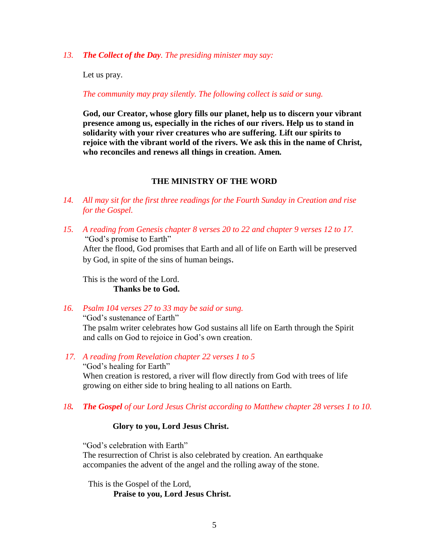*13. The Collect of the Day. The presiding minister may say:*

Let us pray.

*The community may pray silently. The following collect is said or sung.*

**God, our Creator, whose glory fills our planet, help us to discern your vibrant presence among us, especially in the riches of our rivers. Help us to stand in solidarity with your river creatures who are suffering. Lift our spirits to rejoice with the vibrant world of the rivers. We ask this in the name of Christ, who reconciles and renews all things in creation. Amen***.*

## **THE MINISTRY OF THE WORD**

- *14. All may sit for the first three readings for the Fourth Sunday in Creation and rise for the Gospel.*
- *15. A reading from Genesis chapter 8 verses 20 to 22 and chapter 9 verses 12 to 17.* "God's promise to Earth" After the flood, God promises that Earth and all of life on Earth will be preserved by God, in spite of the sins of human beings.

This is the word of the Lord. **Thanks be to God.**

*16. Psalm 104 verses 27 to 33 may be said or sung.*  "God's sustenance of Earth"

The psalm writer celebrates how God sustains all life on Earth through the Spirit and calls on God to rejoice in God's own creation.

- *17. A reading from Revelation chapter 22 verses 1 to 5* "God's healing for Earth" When creation is restored, a river will flow directly from God with trees of life growing on either side to bring healing to all nations on Earth.
- *18. The Gospel of our Lord Jesus Christ according to Matthew chapter 28 verses 1 to 10.*

### **Glory to you, Lord Jesus Christ.**

"God's celebration with Earth"

The resurrection of Christ is also celebrated by creation. An earthquake accompanies the advent of the angel and the rolling away of the stone.

This is the Gospel of the Lord, **Praise to you, Lord Jesus Christ.**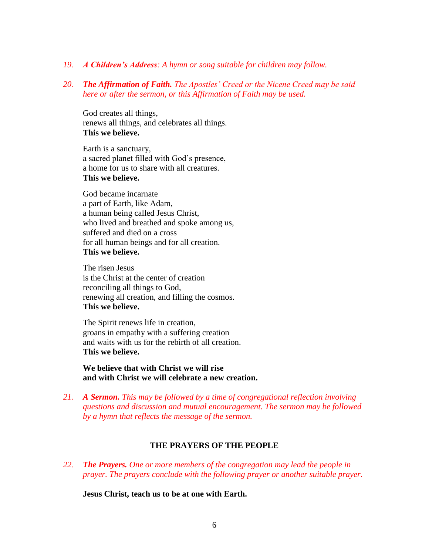- *19. A Children's Address: A hymn or song suitable for children may follow.*
- *20. The Affirmation of Faith. The Apostles' Creed or the Nicene Creed may be said here or after the sermon, or this Affirmation of Faith may be used.*

God creates all things, renews all things, and celebrates all things. **This we believe.**

Earth is a sanctuary, a sacred planet filled with God's presence, a home for us to share with all creatures. **This we believe.**

God became incarnate a part of Earth, like Adam, a human being called Jesus Christ, who lived and breathed and spoke among us, suffered and died on a cross for all human beings and for all creation. **This we believe.**

The risen Jesus is the Christ at the center of creation reconciling all things to God, renewing all creation, and filling the cosmos. **This we believe.**

The Spirit renews life in creation, groans in empathy with a suffering creation and waits with us for the rebirth of all creation. **This we believe.**

**We believe that with Christ we will rise and with Christ we will celebrate a new creation.**

*21. A Sermon. This may be followed by a time of congregational reflection involving questions and discussion and mutual encouragement. The sermon may be followed by a hymn that reflects the message of the sermon.*

### **THE PRAYERS OF THE PEOPLE**

*22. The Prayers. One or more members of the congregation may lead the people in prayer. The prayers conclude with the following prayer or another suitable prayer.*

**Jesus Christ, teach us to be at one with Earth.**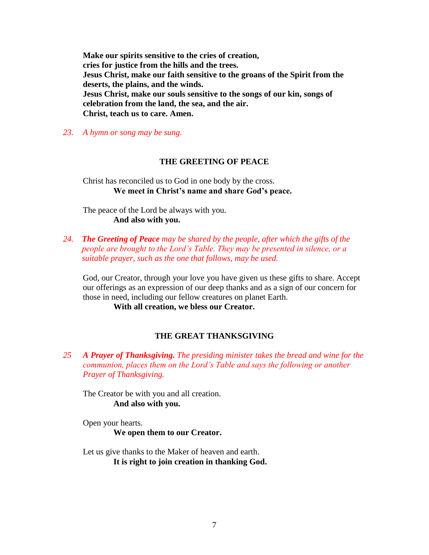**Make our spirits sensitive to the cries of creation, cries for justice from the hills and the trees. Jesus Christ, make our faith sensitive to the groans of the Spirit from the deserts, the plains, and the winds. Jesus Christ, make our souls sensitive to the songs of our kin, songs of celebration from the land, the sea, and the air. Christ, teach us to care. Amen.**

*23. A hymn or song may be sung.*

#### **THE GREETING OF PEACE**

Christ has reconciled us to God in one body by the cross. **We meet in Christ's name and share God's peace.**

The peace of the Lord be always with you. **And also with you.**

*24. The Greeting of Peace may be shared by the people, after which the gifts of the people are brought to the Lord's Table. They may be presented in silence, or a suitable prayer, such as the one that follows, may be used.* 

God, our Creator, through your love you have given us these gifts to share. Accept our offerings as an expression of our deep thanks and as a sign of our concern for those in need, including our fellow creatures on planet Earth.

**With all creation, we bless our Creator.**

## **THE GREAT THANKSGIVING**

*25 A Prayer of Thanksgiving. The presiding minister takes the bread and wine for the communion, places them on the Lord's Table and says the following or another Prayer of Thanksgiving.*

The Creator be with you and all creation. **And also with you.** 

Open your hearts.

**We open them to our Creator.**

Let us give thanks to the Maker of heaven and earth. **It is right to join creation in thanking God.**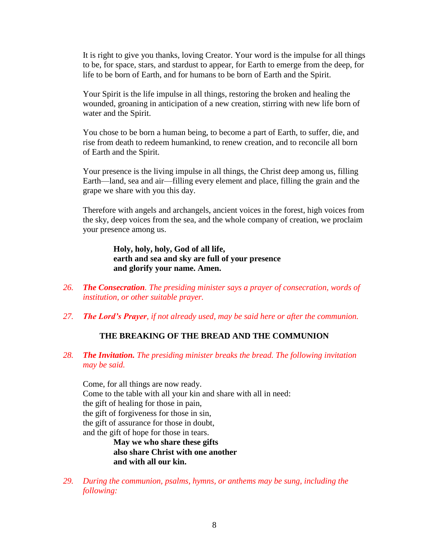It is right to give you thanks, loving Creator. Your word is the impulse for all things to be, for space, stars, and stardust to appear, for Earth to emerge from the deep, for life to be born of Earth, and for humans to be born of Earth and the Spirit.

Your Spirit is the life impulse in all things, restoring the broken and healing the wounded, groaning in anticipation of a new creation, stirring with new life born of water and the Spirit.

You chose to be born a human being, to become a part of Earth, to suffer, die, and rise from death to redeem humankind, to renew creation, and to reconcile all born of Earth and the Spirit.

Your presence is the living impulse in all things, the Christ deep among us, filling Earth—land, sea and air—filling every element and place, filling the grain and the grape we share with you this day.

Therefore with angels and archangels, ancient voices in the forest, high voices from the sky, deep voices from the sea, and the whole company of creation, we proclaim your presence among us.

> **Holy, holy, holy, God of all life, earth and sea and sky are full of your presence and glorify your name. Amen.**

- *26. The Consecration. The presiding minister says a prayer of consecration, words of institution, or other suitable prayer.*
- *27. The Lord's Prayer, if not already used, may be said here or after the communion.*

### **THE BREAKING OF THE BREAD AND THE COMMUNION**

*28. The Invitation. The presiding minister breaks the bread. The following invitation may be said.*

Come, for all things are now ready. Come to the table with all your kin and share with all in need: the gift of healing for those in pain, the gift of forgiveness for those in sin, the gift of assurance for those in doubt, and the gift of hope for those in tears.

> **May we who share these gifts also share Christ with one another and with all our kin.**

*29. During the communion, psalms, hymns, or anthems may be sung, including the following:*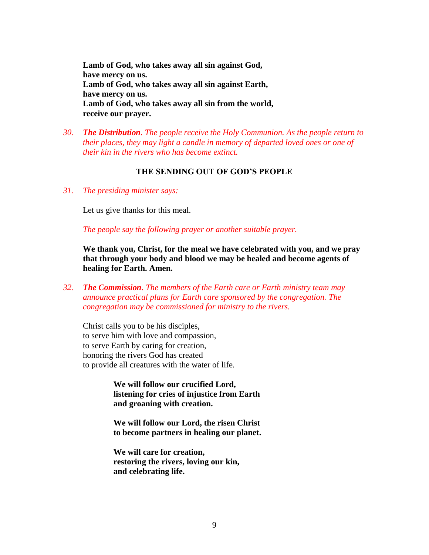**Lamb of God, who takes away all sin against God, have mercy on us. Lamb of God, who takes away all sin against Earth, have mercy on us. Lamb of God, who takes away all sin from the world, receive our prayer.**

*30. The Distribution. The people receive the Holy Communion. As the people return to their places, they may light a candle in memory of departed loved ones or one of their kin in the rivers who has become extinct.*

### **THE SENDING OUT OF GOD'S PEOPLE**

*31. The presiding minister says:*

Let us give thanks for this meal.

*The people say the following prayer or another suitable prayer.*

**We thank you, Christ, for the meal we have celebrated with you, and we pray that through your body and blood we may be healed and become agents of healing for Earth. Amen.**

*32. The Commission. The members of the Earth care or Earth ministry team may announce practical plans for Earth care sponsored by the congregation. The congregation may be commissioned for ministry to the rivers.*

Christ calls you to be his disciples, to serve him with love and compassion, to serve Earth by caring for creation, honoring the rivers God has created to provide all creatures with the water of life.

> **We will follow our crucified Lord, listening for cries of injustice from Earth and groaning with creation.**

> **We will follow our Lord, the risen Christ to become partners in healing our planet.**

**We will care for creation, restoring the rivers, loving our kin, and celebrating life.**